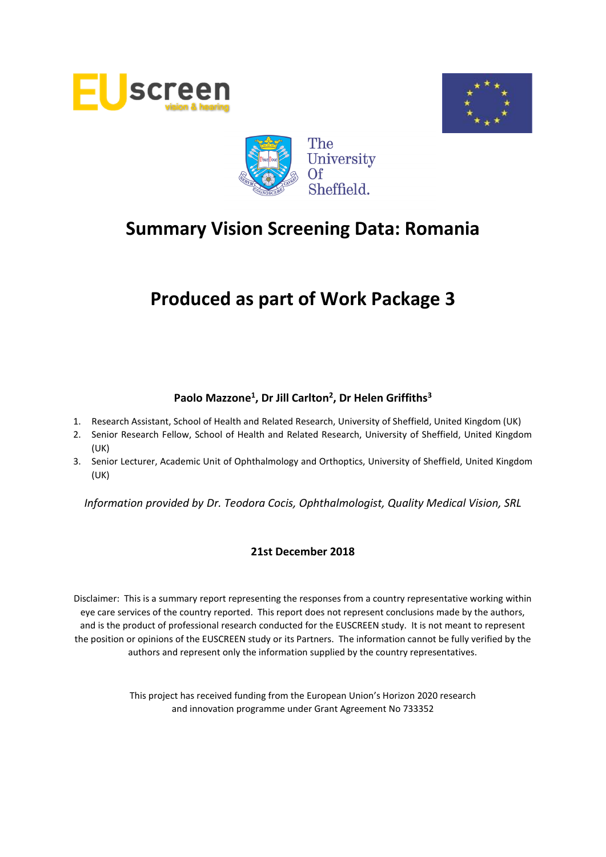





# **Produced as part of Work Package 3**

# **Paolo Mazzone<sup>1</sup> , Dr Jill Carlton<sup>2</sup> , Dr Helen Griffiths<sup>3</sup>**

- 1. Research Assistant, School of Health and Related Research, University of Sheffield, United Kingdom (UK)
- 2. Senior Research Fellow, School of Health and Related Research, University of Sheffield, United Kingdom (UK)
- 3. Senior Lecturer, Academic Unit of Ophthalmology and Orthoptics, University of Sheffield, United Kingdom (UK)

*Information provided by Dr. Teodora Cocis, Ophthalmologist, Quality Medical Vision, SRL*

#### **21st December 2018**

Disclaimer: This is a summary report representing the responses from a country representative working within eye care services of the country reported. This report does not represent conclusions made by the authors, and is the product of professional research conducted for the EUSCREEN study. It is not meant to represent the position or opinions of the EUSCREEN study or its Partners. The information cannot be fully verified by the authors and represent only the information supplied by the country representatives.

> This project has received funding from the European Union's Horizon 2020 research and innovation programme under Grant Agreement No 733352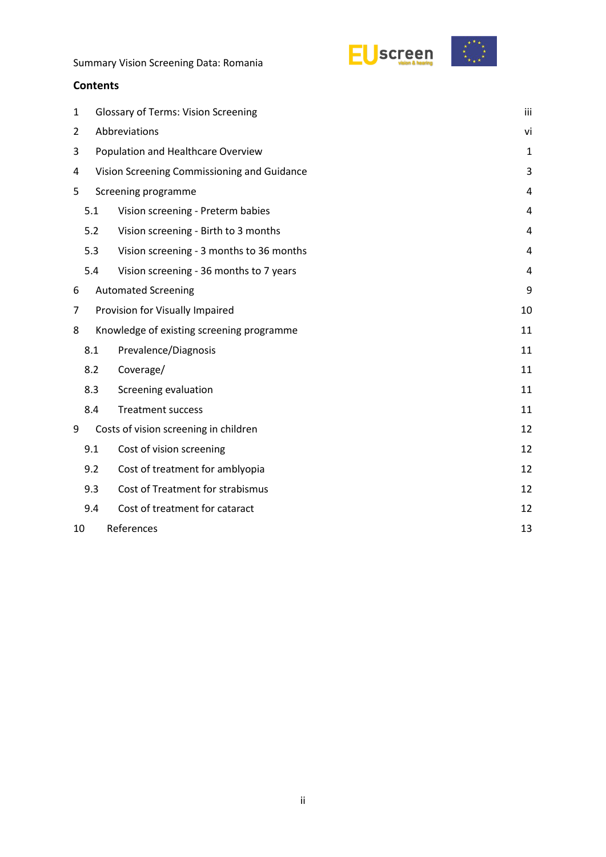



#### **Contents**

| 1              |                                             | <b>Glossary of Terms: Vision Screening</b><br>iii |    |  |  |  |  |  |
|----------------|---------------------------------------------|---------------------------------------------------|----|--|--|--|--|--|
| $\overline{2}$ |                                             | Abbreviations<br>vi                               |    |  |  |  |  |  |
| 3              |                                             | Population and Healthcare Overview                |    |  |  |  |  |  |
| 4              | Vision Screening Commissioning and Guidance |                                                   |    |  |  |  |  |  |
| 5              | Screening programme                         |                                                   |    |  |  |  |  |  |
|                | 5.1                                         | Vision screening - Preterm babies                 |    |  |  |  |  |  |
|                | 5.2                                         | Vision screening - Birth to 3 months              | 4  |  |  |  |  |  |
|                | 5.3                                         | Vision screening - 3 months to 36 months          | 4  |  |  |  |  |  |
|                | 5.4                                         | Vision screening - 36 months to 7 years           | 4  |  |  |  |  |  |
| 6              |                                             | <b>Automated Screening</b>                        | 9  |  |  |  |  |  |
| 7              |                                             | Provision for Visually Impaired                   | 10 |  |  |  |  |  |
| 8              |                                             | Knowledge of existing screening programme         | 11 |  |  |  |  |  |
|                | 8.1                                         | Prevalence/Diagnosis                              | 11 |  |  |  |  |  |
|                | 8.2                                         | Coverage/                                         | 11 |  |  |  |  |  |
|                | 8.3                                         | Screening evaluation                              | 11 |  |  |  |  |  |
|                | 8.4                                         | <b>Treatment success</b>                          | 11 |  |  |  |  |  |
| 9              |                                             | Costs of vision screening in children             | 12 |  |  |  |  |  |
|                | 9.1                                         | Cost of vision screening                          | 12 |  |  |  |  |  |
|                | 9.2                                         | Cost of treatment for amblyopia                   | 12 |  |  |  |  |  |
|                | 9.3                                         | Cost of Treatment for strabismus                  | 12 |  |  |  |  |  |
|                | 9.4                                         | Cost of treatment for cataract                    | 12 |  |  |  |  |  |
| 10             | References<br>13                            |                                                   |    |  |  |  |  |  |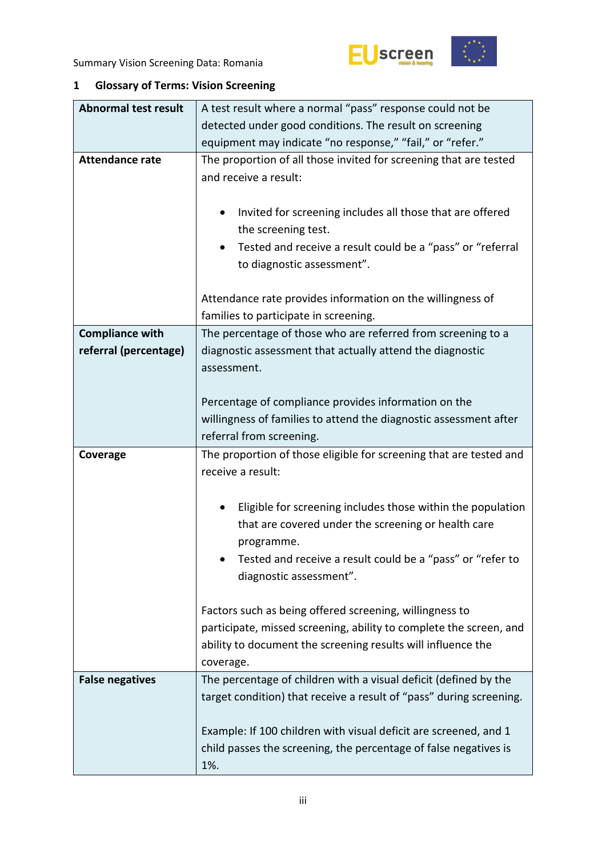



# <span id="page-2-0"></span>**1 Glossary of Terms: Vision Screening**

| <b>Abnormal test result</b> | A test result where a normal "pass" response could not be                                                                                                                                                                      |  |  |  |  |  |  |
|-----------------------------|--------------------------------------------------------------------------------------------------------------------------------------------------------------------------------------------------------------------------------|--|--|--|--|--|--|
|                             | detected under good conditions. The result on screening                                                                                                                                                                        |  |  |  |  |  |  |
|                             | equipment may indicate "no response," "fail," or "refer."                                                                                                                                                                      |  |  |  |  |  |  |
| <b>Attendance rate</b>      | The proportion of all those invited for screening that are tested<br>and receive a result:                                                                                                                                     |  |  |  |  |  |  |
|                             | Invited for screening includes all those that are offered<br>٠<br>the screening test.                                                                                                                                          |  |  |  |  |  |  |
|                             | Tested and receive a result could be a "pass" or "referral<br>٠<br>to diagnostic assessment".                                                                                                                                  |  |  |  |  |  |  |
|                             | Attendance rate provides information on the willingness of<br>families to participate in screening.                                                                                                                            |  |  |  |  |  |  |
| <b>Compliance with</b>      | The percentage of those who are referred from screening to a                                                                                                                                                                   |  |  |  |  |  |  |
| referral (percentage)       | diagnostic assessment that actually attend the diagnostic<br>assessment.                                                                                                                                                       |  |  |  |  |  |  |
|                             | Percentage of compliance provides information on the                                                                                                                                                                           |  |  |  |  |  |  |
|                             | willingness of families to attend the diagnostic assessment after                                                                                                                                                              |  |  |  |  |  |  |
|                             | referral from screening.                                                                                                                                                                                                       |  |  |  |  |  |  |
|                             |                                                                                                                                                                                                                                |  |  |  |  |  |  |
| Coverage                    | The proportion of those eligible for screening that are tested and<br>receive a result:                                                                                                                                        |  |  |  |  |  |  |
|                             | Eligible for screening includes those within the population<br>٠<br>that are covered under the screening or health care<br>programme.<br>Tested and receive a result could be a "pass" or "refer to<br>diagnostic assessment". |  |  |  |  |  |  |
|                             | Factors such as being offered screening, willingness to<br>participate, missed screening, ability to complete the screen, and<br>ability to document the screening results will influence the<br>coverage.                     |  |  |  |  |  |  |
| <b>False negatives</b>      | The percentage of children with a visual deficit (defined by the<br>target condition) that receive a result of "pass" during screening.<br>Example: If 100 children with visual deficit are screened, and 1                    |  |  |  |  |  |  |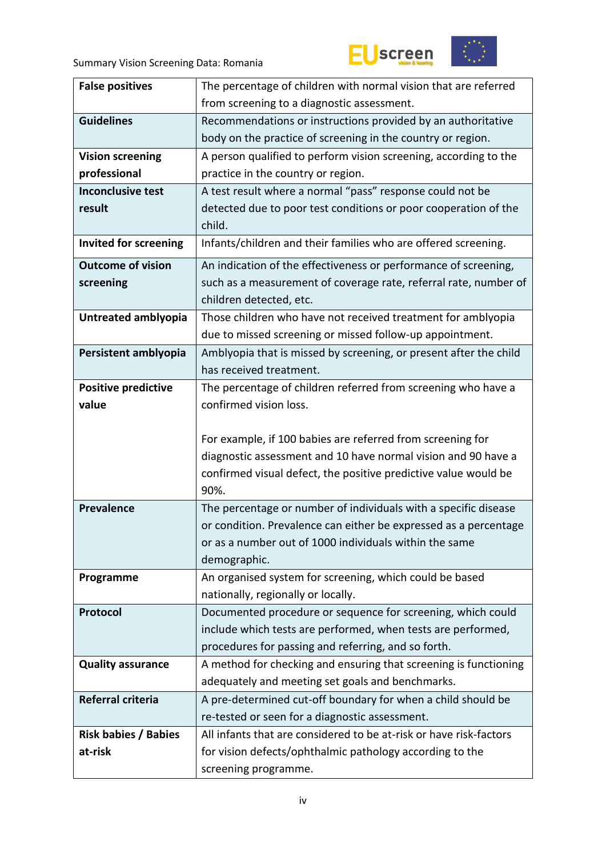



| <b>False positives</b>       | The percentage of children with normal vision that are referred    |  |  |  |  |
|------------------------------|--------------------------------------------------------------------|--|--|--|--|
|                              | from screening to a diagnostic assessment.                         |  |  |  |  |
| <b>Guidelines</b>            | Recommendations or instructions provided by an authoritative       |  |  |  |  |
|                              | body on the practice of screening in the country or region.        |  |  |  |  |
| <b>Vision screening</b>      | A person qualified to perform vision screening, according to the   |  |  |  |  |
| professional                 | practice in the country or region.                                 |  |  |  |  |
| <b>Inconclusive test</b>     | A test result where a normal "pass" response could not be          |  |  |  |  |
| result                       | detected due to poor test conditions or poor cooperation of the    |  |  |  |  |
|                              | child.                                                             |  |  |  |  |
| <b>Invited for screening</b> | Infants/children and their families who are offered screening.     |  |  |  |  |
| <b>Outcome of vision</b>     | An indication of the effectiveness or performance of screening,    |  |  |  |  |
| screening                    | such as a measurement of coverage rate, referral rate, number of   |  |  |  |  |
|                              | children detected, etc.                                            |  |  |  |  |
| Untreated amblyopia          | Those children who have not received treatment for amblyopia       |  |  |  |  |
|                              | due to missed screening or missed follow-up appointment.           |  |  |  |  |
| Persistent amblyopia         | Amblyopia that is missed by screening, or present after the child  |  |  |  |  |
|                              | has received treatment.                                            |  |  |  |  |
| <b>Positive predictive</b>   | The percentage of children referred from screening who have a      |  |  |  |  |
| value                        | confirmed vision loss.                                             |  |  |  |  |
|                              |                                                                    |  |  |  |  |
|                              | For example, if 100 babies are referred from screening for         |  |  |  |  |
|                              | diagnostic assessment and 10 have normal vision and 90 have a      |  |  |  |  |
|                              | confirmed visual defect, the positive predictive value would be    |  |  |  |  |
|                              | 90%.                                                               |  |  |  |  |
| <b>Prevalence</b>            | The percentage or number of individuals with a specific disease    |  |  |  |  |
|                              | or condition. Prevalence can either be expressed as a percentage   |  |  |  |  |
|                              | or as a number out of 1000 individuals within the same             |  |  |  |  |
|                              | demographic.                                                       |  |  |  |  |
| Programme                    | An organised system for screening, which could be based            |  |  |  |  |
|                              | nationally, regionally or locally.                                 |  |  |  |  |
| Protocol                     | Documented procedure or sequence for screening, which could        |  |  |  |  |
|                              | include which tests are performed, when tests are performed,       |  |  |  |  |
|                              | procedures for passing and referring, and so forth.                |  |  |  |  |
| <b>Quality assurance</b>     | A method for checking and ensuring that screening is functioning   |  |  |  |  |
|                              | adequately and meeting set goals and benchmarks.                   |  |  |  |  |
| Referral criteria            | A pre-determined cut-off boundary for when a child should be       |  |  |  |  |
|                              | re-tested or seen for a diagnostic assessment.                     |  |  |  |  |
| <b>Risk babies / Babies</b>  | All infants that are considered to be at-risk or have risk-factors |  |  |  |  |
| at-risk                      | for vision defects/ophthalmic pathology according to the           |  |  |  |  |
|                              | screening programme.                                               |  |  |  |  |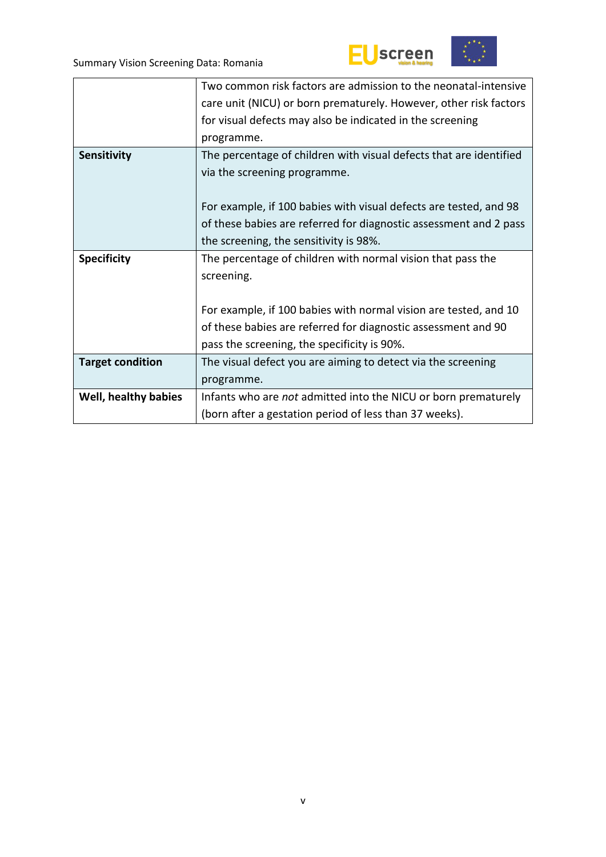



|                         | Two common risk factors are admission to the neonatal-intensive    |
|-------------------------|--------------------------------------------------------------------|
|                         | care unit (NICU) or born prematurely. However, other risk factors  |
|                         | for visual defects may also be indicated in the screening          |
|                         | programme.                                                         |
| Sensitivity             | The percentage of children with visual defects that are identified |
|                         | via the screening programme.                                       |
|                         |                                                                    |
|                         | For example, if 100 babies with visual defects are tested, and 98  |
|                         | of these babies are referred for diagnostic assessment and 2 pass  |
|                         | the screening, the sensitivity is 98%.                             |
| <b>Specificity</b>      | The percentage of children with normal vision that pass the        |
|                         | screening.                                                         |
|                         |                                                                    |
|                         | For example, if 100 babies with normal vision are tested, and 10   |
|                         | of these babies are referred for diagnostic assessment and 90      |
|                         | pass the screening, the specificity is 90%.                        |
| <b>Target condition</b> | The visual defect you are aiming to detect via the screening       |
|                         | programme.                                                         |
|                         |                                                                    |
| Well, healthy babies    | Infants who are not admitted into the NICU or born prematurely     |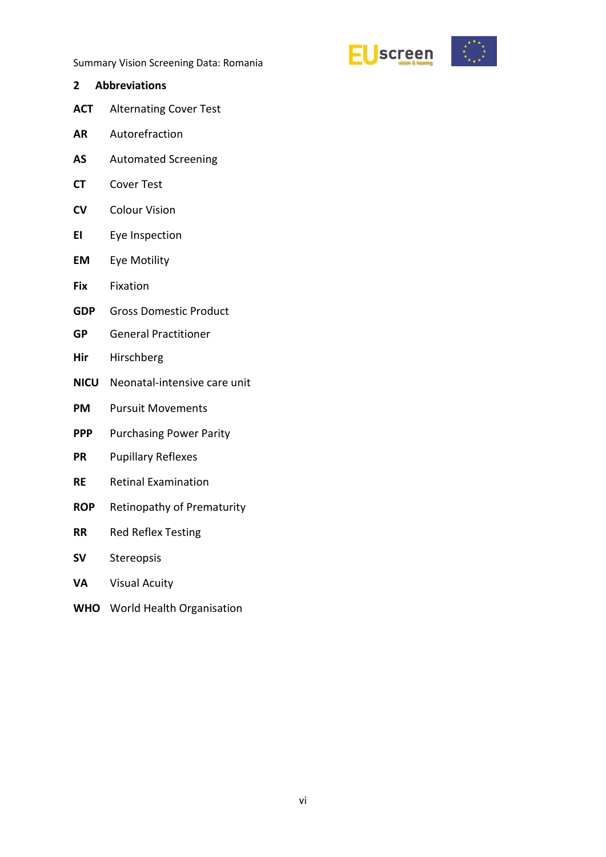

- <span id="page-5-0"></span>**2 Abbreviations ACT** Alternating Cover Test **AR** Autorefraction **AS** Automated Screening **CT** Cover Test **CV** Colour Vision
- **EI** Eye Inspection
- **EM** Eye Motility
- **Fix** Fixation
- **GDP** Gross Domestic Product
- **GP** General Practitioner
- **Hir** Hirschberg
- **NICU** Neonatal-intensive care unit
- **PM** Pursuit Movements
- **PPP** Purchasing Power Parity
- **PR** Pupillary Reflexes
- **RE** Retinal Examination
- **ROP** Retinopathy of Prematurity
- **RR** Red Reflex Testing
- **SV** Stereopsis
- **VA** Visual Acuity
- **WHO** World Health Organisation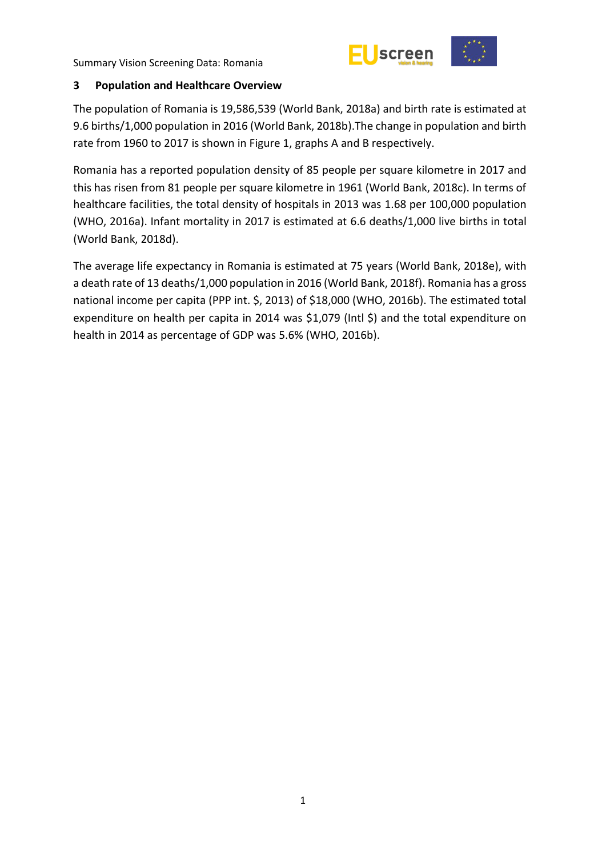

#### <span id="page-6-0"></span>**3 Population and Healthcare Overview**

The population of Romania is 19,586,539 (World Bank, 2018a) and birth rate is estimated at 9.6 births/1,000 population in 2016 (World Bank, 2018b).The change in population and birth rate from 1960 to 2017 is shown in Figure 1, graphs A and B respectively.

Romania has a reported population density of 85 people per square kilometre in 2017 and this has risen from 81 people per square kilometre in 1961 (World Bank, 2018c). In terms of healthcare facilities, the total density of hospitals in 2013 was 1.68 per 100,000 population (WHO, 2016a). Infant mortality in 2017 is estimated at 6.6 deaths/1,000 live births in total (World Bank, 2018d).

The average life expectancy in Romania is estimated at 75 years (World Bank, 2018e), with a death rate of 13 deaths/1,000 population in 2016 (World Bank, 2018f). Romania has a gross national income per capita (PPP int. \$, 2013) of \$18,000 (WHO, 2016b). The estimated total expenditure on health per capita in 2014 was \$1,079 (Intl \$) and the total expenditure on health in 2014 as percentage of GDP was 5.6% (WHO, 2016b).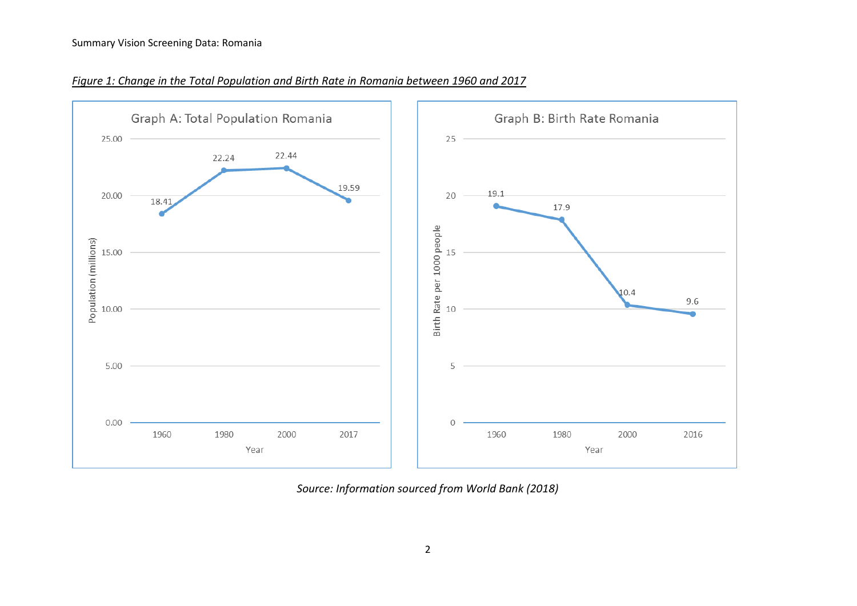

*Figure 1: Change in the Total Population and Birth Rate in Romania between 1960 and 2017*

*Source: Information sourced from World Bank (2018)*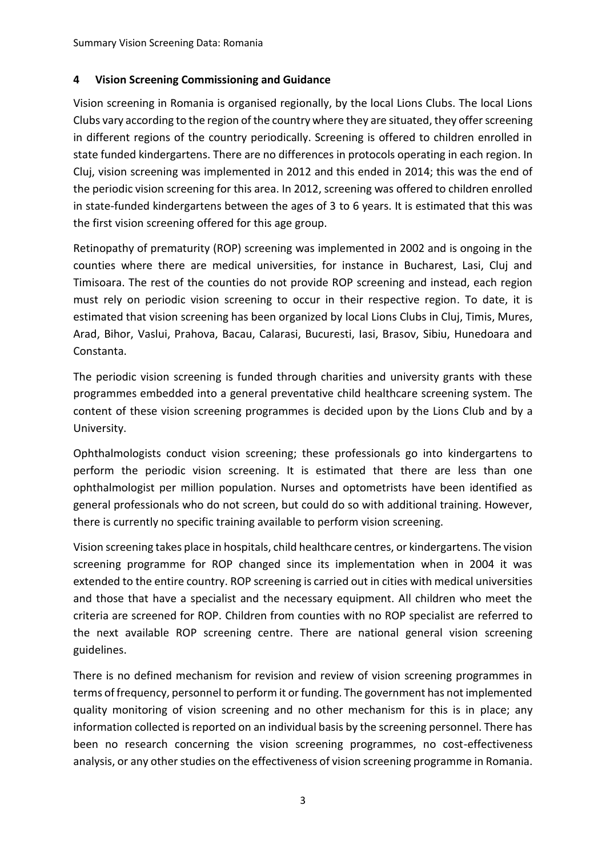## <span id="page-8-0"></span>**4 Vision Screening Commissioning and Guidance**

Vision screening in Romania is organised regionally, by the local Lions Clubs. The local Lions Clubs vary according to the region of the country where they are situated, they offer screening in different regions of the country periodically. Screening is offered to children enrolled in state funded kindergartens. There are no differences in protocols operating in each region. In Cluj, vision screening was implemented in 2012 and this ended in 2014; this was the end of the periodic vision screening for this area. In 2012, screening was offered to children enrolled in state-funded kindergartens between the ages of 3 to 6 years. It is estimated that this was the first vision screening offered for this age group.

Retinopathy of prematurity (ROP) screening was implemented in 2002 and is ongoing in the counties where there are medical universities, for instance in Bucharest, Lasi, Cluj and Timisoara. The rest of the counties do not provide ROP screening and instead, each region must rely on periodic vision screening to occur in their respective region. To date, it is estimated that vision screening has been organized by local Lions Clubs in Cluj, Timis, Mures, Arad, Bihor, Vaslui, Prahova, Bacau, Calarasi, Bucuresti, Iasi, Brasov, Sibiu, Hunedoara and Constanta.

The periodic vision screening is funded through charities and university grants with these programmes embedded into a general preventative child healthcare screening system. The content of these vision screening programmes is decided upon by the Lions Club and by a University.

Ophthalmologists conduct vision screening; these professionals go into kindergartens to perform the periodic vision screening. It is estimated that there are less than one ophthalmologist per million population. Nurses and optometrists have been identified as general professionals who do not screen, but could do so with additional training. However, there is currently no specific training available to perform vision screening.

Vision screening takes place in hospitals, child healthcare centres, or kindergartens. The vision screening programme for ROP changed since its implementation when in 2004 it was extended to the entire country. ROP screening is carried out in cities with medical universities and those that have a specialist and the necessary equipment. All children who meet the criteria are screened for ROP. Children from counties with no ROP specialist are referred to the next available ROP screening centre. There are national general vision screening guidelines.

There is no defined mechanism for revision and review of vision screening programmes in terms of frequency, personnel to perform it or funding. The government has not implemented quality monitoring of vision screening and no other mechanism for this is in place; any information collected is reported on an individual basis by the screening personnel. There has been no research concerning the vision screening programmes, no cost-effectiveness analysis, or any other studies on the effectiveness of vision screening programme in Romania.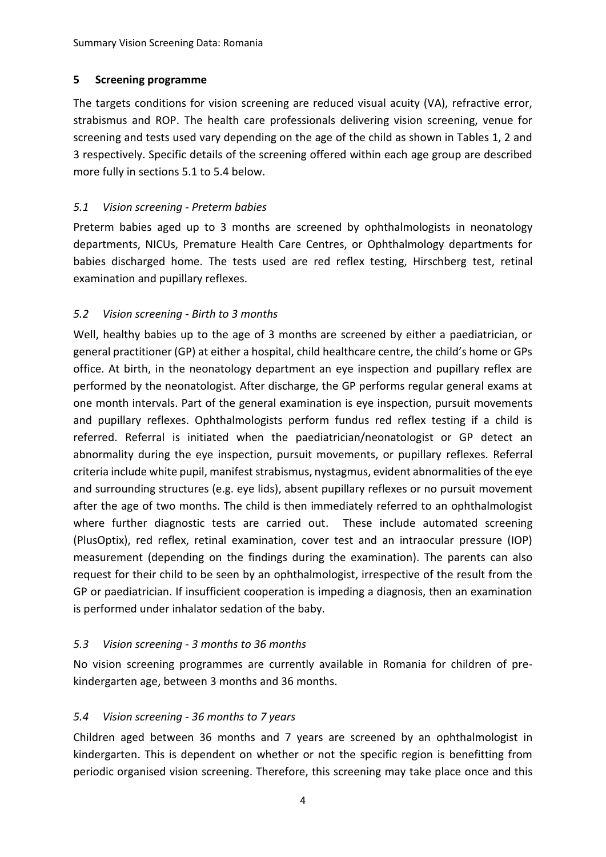## <span id="page-9-0"></span>**5 Screening programme**

The targets conditions for vision screening are reduced visual acuity (VA), refractive error, strabismus and ROP. The health care professionals delivering vision screening, venue for screening and tests used vary depending on the age of the child as shown in Tables 1, 2 and 3 respectively. Specific details of the screening offered within each age group are described more fully in sections 5.1 to 5.4 below.

## <span id="page-9-1"></span>*5.1 Vision screening - Preterm babies*

Preterm babies aged up to 3 months are screened by ophthalmologists in neonatology departments, NICUs, Premature Health Care Centres, or Ophthalmology departments for babies discharged home. The tests used are red reflex testing, Hirschberg test, retinal examination and pupillary reflexes.

## <span id="page-9-2"></span>*5.2 Vision screening - Birth to 3 months*

Well, healthy babies up to the age of 3 months are screened by either a paediatrician, or general practitioner (GP) at either a hospital, child healthcare centre, the child's home or GPs office. At birth, in the neonatology department an eye inspection and pupillary reflex are performed by the neonatologist. After discharge, the GP performs regular general exams at one month intervals. Part of the general examination is eye inspection, pursuit movements and pupillary reflexes. Ophthalmologists perform fundus red reflex testing if a child is referred. Referral is initiated when the paediatrician/neonatologist or GP detect an abnormality during the eye inspection, pursuit movements, or pupillary reflexes. Referral criteria include white pupil, manifest strabismus, nystagmus, evident abnormalities of the eye and surrounding structures (e.g. eye lids), absent pupillary reflexes or no pursuit movement after the age of two months. The child is then immediately referred to an ophthalmologist where further diagnostic tests are carried out. These include automated screening (PlusOptix), red reflex, retinal examination, cover test and an intraocular pressure (IOP) measurement (depending on the findings during the examination). The parents can also request for their child to be seen by an ophthalmologist, irrespective of the result from the GP or paediatrician. If insufficient cooperation is impeding a diagnosis, then an examination is performed under inhalator sedation of the baby.

#### <span id="page-9-3"></span>*5.3 Vision screening - 3 months to 36 months*

No vision screening programmes are currently available in Romania for children of prekindergarten age, between 3 months and 36 months.

#### <span id="page-9-4"></span>*5.4 Vision screening - 36 months to 7 years*

Children aged between 36 months and 7 years are screened by an ophthalmologist in kindergarten. This is dependent on whether or not the specific region is benefitting from periodic organised vision screening. Therefore, this screening may take place once and this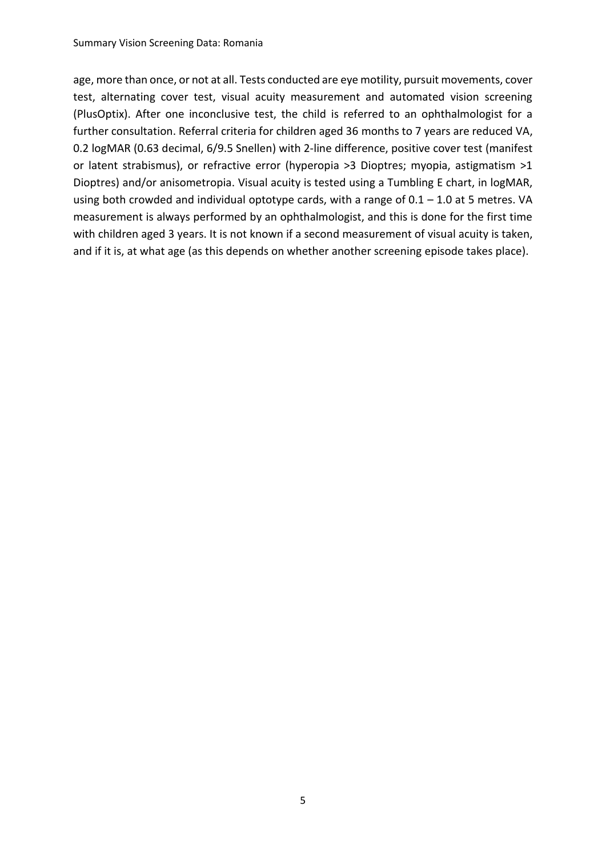age, more than once, or not at all. Tests conducted are eye motility, pursuit movements, cover test, alternating cover test, visual acuity measurement and automated vision screening (PlusOptix). After one inconclusive test, the child is referred to an ophthalmologist for a further consultation. Referral criteria for children aged 36 months to 7 years are reduced VA, 0.2 logMAR (0.63 decimal, 6/9.5 Snellen) with 2-line difference, positive cover test (manifest or latent strabismus), or refractive error (hyperopia >3 Dioptres; myopia, astigmatism >1 Dioptres) and/or anisometropia. Visual acuity is tested using a Tumbling E chart, in logMAR, using both crowded and individual optotype cards, with a range of 0.1 – 1.0 at 5 metres. VA measurement is always performed by an ophthalmologist, and this is done for the first time with children aged 3 years. It is not known if a second measurement of visual acuity is taken, and if it is, at what age (as this depends on whether another screening episode takes place).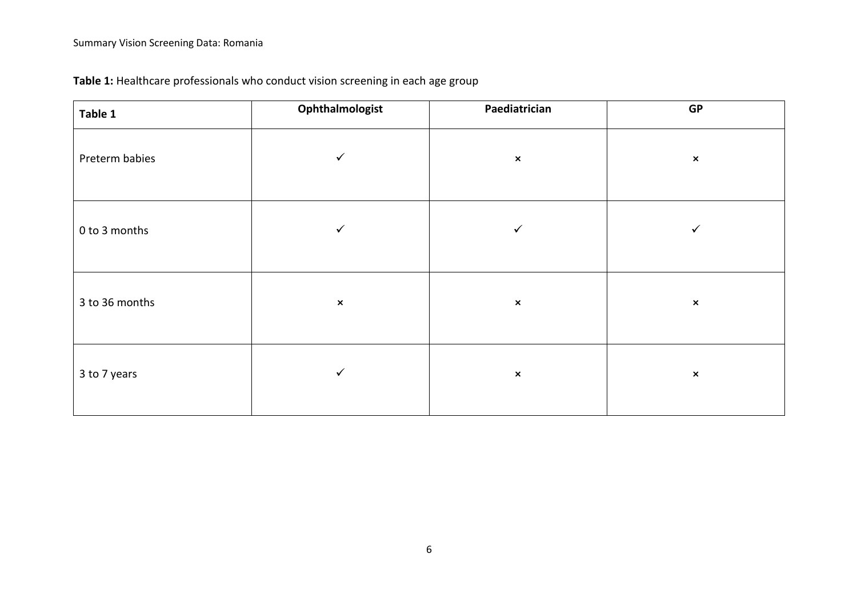| Table 1        | Ophthalmologist | Paediatrician  | GP             |
|----------------|-----------------|----------------|----------------|
| Preterm babies | $\checkmark$    | $\pmb{\times}$ | $\pmb{\times}$ |
| 0 to 3 months  | ✓               | $\checkmark$   | ✓              |
| 3 to 36 months | $\pmb{\times}$  | $\pmb{\times}$ | $\pmb{\times}$ |
| 3 to 7 years   | $\checkmark$    | $\pmb{\times}$ | $\pmb{\times}$ |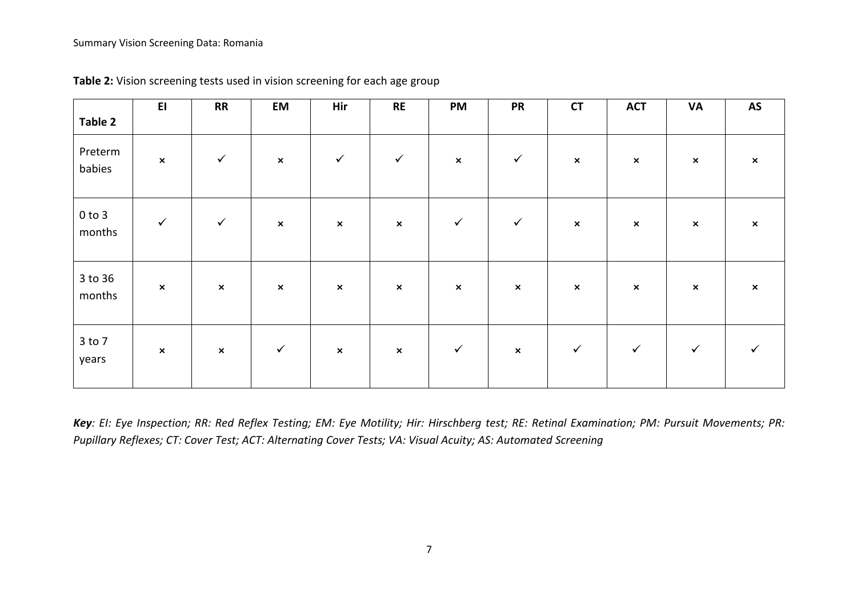| Table 2              | E1             | <b>RR</b>      | EM                        | Hir            | <b>RE</b>      | PM             | <b>PR</b>      | <b>CT</b>      | <b>ACT</b>     | VA             | <b>AS</b>                 |
|----------------------|----------------|----------------|---------------------------|----------------|----------------|----------------|----------------|----------------|----------------|----------------|---------------------------|
| Preterm<br>babies    | $\pmb{\times}$ | $\checkmark$   | $\boldsymbol{\mathsf{x}}$ | $\checkmark$   | $\checkmark$   | $\pmb{\times}$ | $\checkmark$   | $\pmb{\times}$ | $\pmb{\times}$ | $\pmb{\times}$ | $\pmb{\times}$            |
| $0$ to $3$<br>months | $\checkmark$   | $\checkmark$   | $\boldsymbol{\mathsf{x}}$ | $\pmb{\times}$ | $\pmb{\times}$ | $\checkmark$   | $\checkmark$   | $\pmb{\times}$ | $\pmb{\times}$ | $\pmb{\times}$ | $\boldsymbol{\mathsf{x}}$ |
| 3 to 36<br>months    | $\pmb{\times}$ | $\pmb{\times}$ | $\boldsymbol{\mathsf{x}}$ | $\pmb{\times}$ | $\pmb{\times}$ | $\pmb{\times}$ | $\pmb{\times}$ | $\pmb{\times}$ | $\pmb{\times}$ | $\pmb{\times}$ | $\pmb{\times}$            |
| $3$ to $7$<br>years  | $\pmb{\times}$ | $\pmb{\times}$ | $\checkmark$              | $\pmb{\times}$ | $\pmb{\times}$ | $\checkmark$   | $\pmb{\times}$ | $\checkmark$   | $\checkmark$   | $\checkmark$   |                           |

**Table 2:** Vision screening tests used in vision screening for each age group

*Key: EI: Eye Inspection; RR: Red Reflex Testing; EM: Eye Motility; Hir: Hirschberg test; RE: Retinal Examination; PM: Pursuit Movements; PR: Pupillary Reflexes; CT: Cover Test; ACT: Alternating Cover Tests; VA: Visual Acuity; AS: Automated Screening*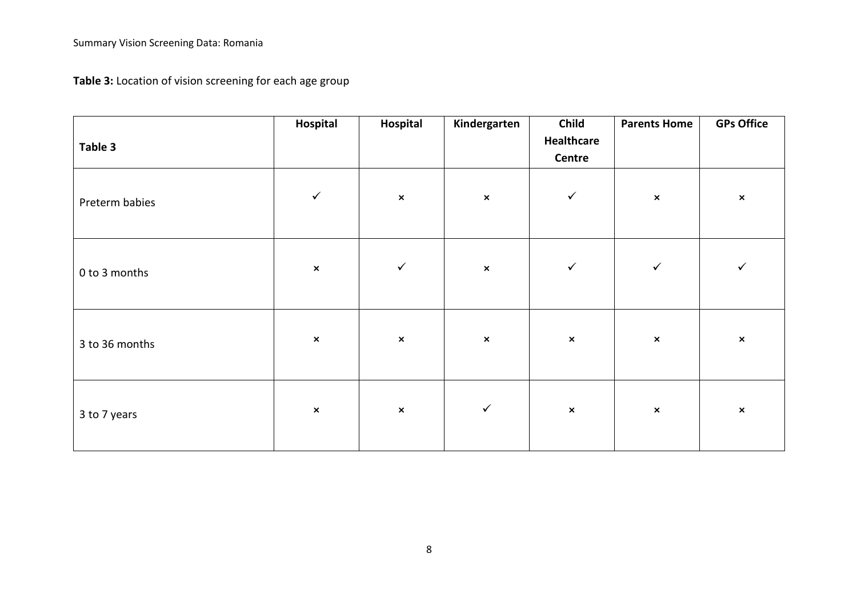**Table 3:** Location of vision screening for each age group

| Table 3        | Hospital       | Hospital       | Kindergarten   | Child<br>Healthcare<br>Centre | <b>Parents Home</b> | <b>GPs Office</b> |
|----------------|----------------|----------------|----------------|-------------------------------|---------------------|-------------------|
| Preterm babies | $\checkmark$   | $\pmb{\times}$ | $\pmb{\times}$ | $\checkmark$                  | $\pmb{\times}$      | $\pmb{\times}$    |
| 0 to 3 months  | $\pmb{\times}$ | $\checkmark$   | $\pmb{\times}$ | $\checkmark$                  | $\checkmark$        | $\checkmark$      |
| 3 to 36 months | $\pmb{\times}$ | $\pmb{\times}$ | $\pmb{\times}$ | $\pmb{\times}$                | $\pmb{\times}$      | $\pmb{\times}$    |
| 3 to 7 years   | $\pmb{\times}$ | $\pmb{\times}$ | $\checkmark$   | $\pmb{\times}$                | $\pmb{\times}$      | $\pmb{\times}$    |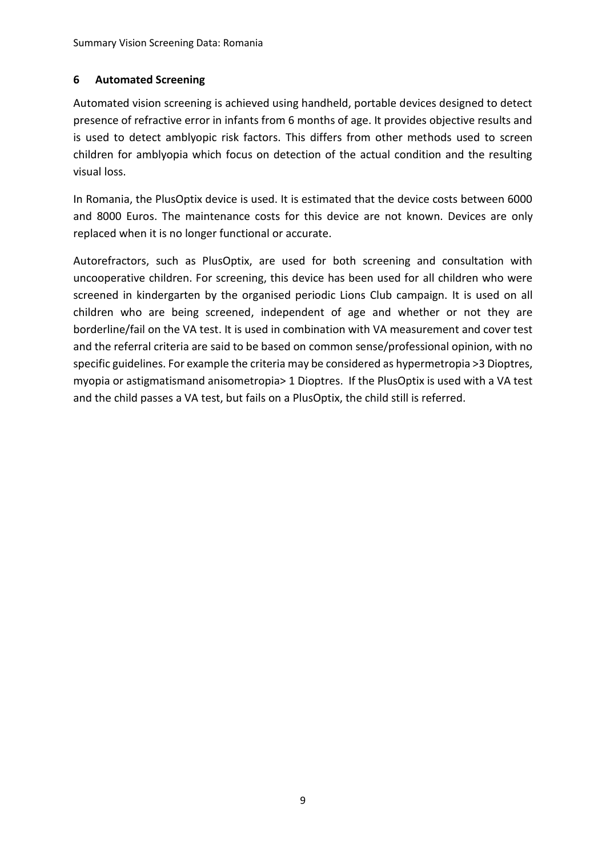## <span id="page-14-0"></span>**6 Automated Screening**

Automated vision screening is achieved using handheld, portable devices designed to detect presence of refractive error in infants from 6 months of age. It provides objective results and is used to detect amblyopic risk factors. This differs from other methods used to screen children for amblyopia which focus on detection of the actual condition and the resulting visual loss.

In Romania, the PlusOptix device is used. It is estimated that the device costs between 6000 and 8000 Euros. The maintenance costs for this device are not known. Devices are only replaced when it is no longer functional or accurate.

Autorefractors, such as PlusOptix, are used for both screening and consultation with uncooperative children. For screening, this device has been used for all children who were screened in kindergarten by the organised periodic Lions Club campaign. It is used on all children who are being screened, independent of age and whether or not they are borderline/fail on the VA test. It is used in combination with VA measurement and cover test and the referral criteria are said to be based on common sense/professional opinion, with no specific guidelines. For example the criteria may be considered as hypermetropia >3 Dioptres, myopia or astigmatismand anisometropia> 1 Dioptres. If the PlusOptix is used with a VA test and the child passes a VA test, but fails on a PlusOptix, the child still is referred.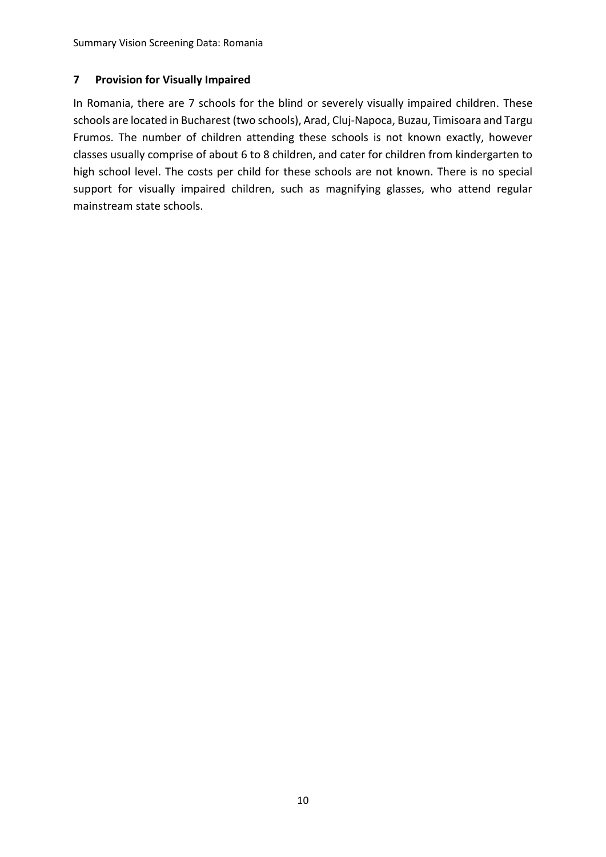#### <span id="page-15-0"></span>**7 Provision for Visually Impaired**

In Romania, there are 7 schools for the blind or severely visually impaired children. These schools are located in Bucharest (two schools), Arad, Cluj-Napoca, Buzau, Timisoara and Targu Frumos. The number of children attending these schools is not known exactly, however classes usually comprise of about 6 to 8 children, and cater for children from kindergarten to high school level. The costs per child for these schools are not known. There is no special support for visually impaired children, such as magnifying glasses, who attend regular mainstream state schools.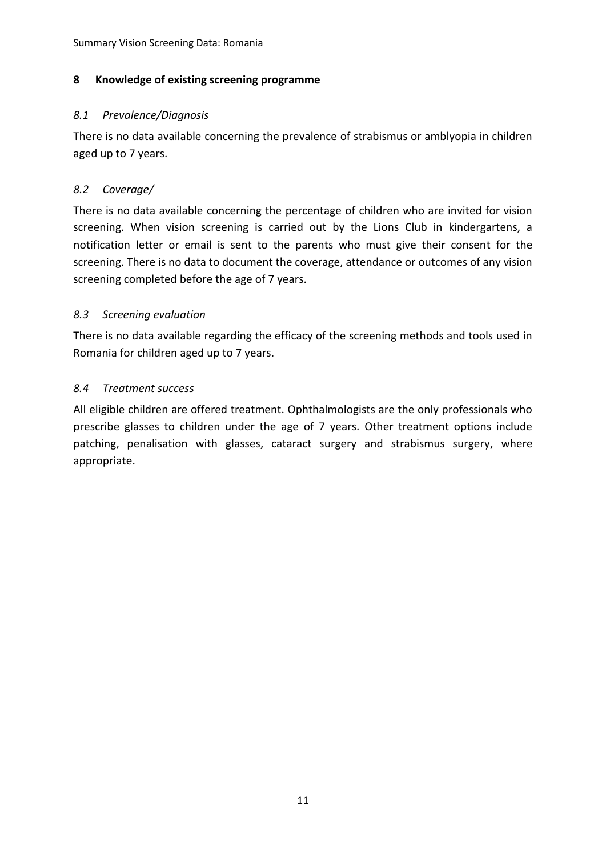#### <span id="page-16-0"></span>**8 Knowledge of existing screening programme**

#### <span id="page-16-1"></span>*8.1 Prevalence/Diagnosis*

There is no data available concerning the prevalence of strabismus or amblyopia in children aged up to 7 years.

#### <span id="page-16-2"></span>*8.2 Coverage/*

There is no data available concerning the percentage of children who are invited for vision screening. When vision screening is carried out by the Lions Club in kindergartens, a notification letter or email is sent to the parents who must give their consent for the screening. There is no data to document the coverage, attendance or outcomes of any vision screening completed before the age of 7 years.

#### <span id="page-16-3"></span>*8.3 Screening evaluation*

There is no data available regarding the efficacy of the screening methods and tools used in Romania for children aged up to 7 years.

#### <span id="page-16-4"></span>*8.4 Treatment success*

All eligible children are offered treatment. Ophthalmologists are the only professionals who prescribe glasses to children under the age of 7 years. Other treatment options include patching, penalisation with glasses, cataract surgery and strabismus surgery, where appropriate.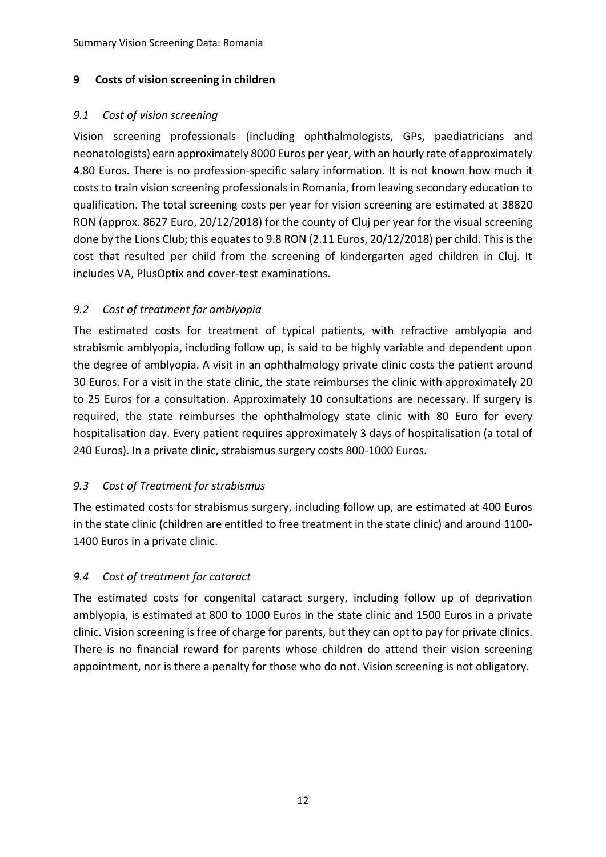## <span id="page-17-0"></span>**9 Costs of vision screening in children**

## <span id="page-17-1"></span>*9.1 Cost of vision screening*

Vision screening professionals (including ophthalmologists, GPs, paediatricians and neonatologists) earn approximately 8000 Euros per year, with an hourly rate of approximately 4.80 Euros. There is no profession-specific salary information. It is not known how much it costs to train vision screening professionals in Romania, from leaving secondary education to qualification. The total screening costs per year for vision screening are estimated at 38820 RON (approx. 8627 Euro, 20/12/2018) for the county of Cluj per year for the visual screening done by the Lions Club; this equates to 9.8 RON (2.11 Euros, 20/12/2018) per child. This is the cost that resulted per child from the screening of kindergarten aged children in Cluj. It includes VA, PlusOptix and cover-test examinations.

# <span id="page-17-2"></span>*9.2 Cost of treatment for amblyopia*

The estimated costs for treatment of typical patients, with refractive amblyopia and strabismic amblyopia, including follow up, is said to be highly variable and dependent upon the degree of amblyopia. A visit in an ophthalmology private clinic costs the patient around 30 Euros. For a visit in the state clinic, the state reimburses the clinic with approximately 20 to 25 Euros for a consultation. Approximately 10 consultations are necessary. If surgery is required, the state reimburses the ophthalmology state clinic with 80 Euro for every hospitalisation day. Every patient requires approximately 3 days of hospitalisation (a total of 240 Euros). In a private clinic, strabismus surgery costs 800-1000 Euros.

# <span id="page-17-3"></span>*9.3 Cost of Treatment for strabismus*

The estimated costs for strabismus surgery, including follow up, are estimated at 400 Euros in the state clinic (children are entitled to free treatment in the state clinic) and around 1100- 1400 Euros in a private clinic.

# <span id="page-17-4"></span>*9.4 Cost of treatment for cataract*

The estimated costs for congenital cataract surgery, including follow up of deprivation amblyopia, is estimated at 800 to 1000 Euros in the state clinic and 1500 Euros in a private clinic. Vision screening is free of charge for parents, but they can opt to pay for private clinics. There is no financial reward for parents whose children do attend their vision screening appointment, nor is there a penalty for those who do not. Vision screening is not obligatory.